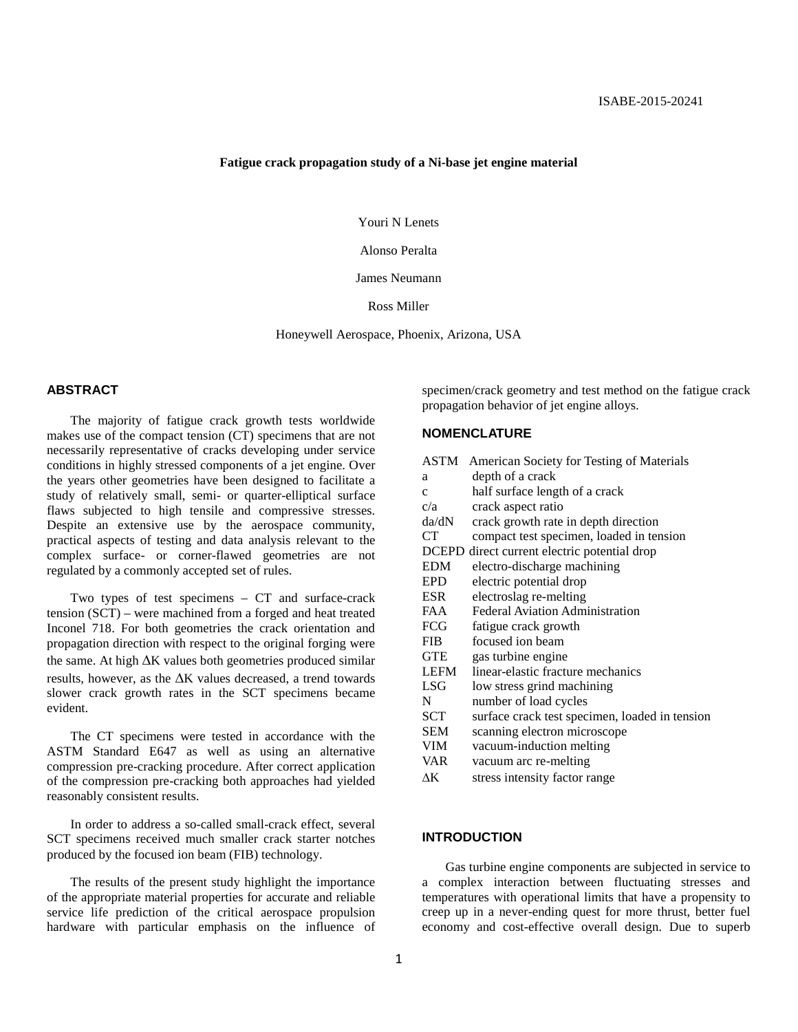#### **Fatigue crack propagation study of a Ni-base jet engine material**

Youri N Lenets

Alonso Peralta

James Neumann

Ross Miller

Honeywell Aerospace, Phoenix, Arizona, USA

## **ABSTRACT**

The majority of fatigue crack growth tests worldwide makes use of the compact tension (CT) specimens that are not necessarily representative of cracks developing under service conditions in highly stressed components of a jet engine. Over the years other geometries have been designed to facilitate a study of relatively small, semi- or quarter-elliptical surface flaws subjected to high tensile and compressive stresses. Despite an extensive use by the aerospace community, practical aspects of testing and data analysis relevant to the complex surface- or corner-flawed geometries are not regulated by a commonly accepted set of rules.

Two types of test specimens – CT and surface-crack tension (SCT) – were machined from a forged and heat treated Inconel 718. For both geometries the crack orientation and propagation direction with respect to the original forging were the same. At high ∆K values both geometries produced similar results, however, as the ∆K values decreased, a trend towards slower crack growth rates in the SCT specimens became evident.

The CT specimens were tested in accordance with the ASTM Standard E647 as well as using an alternative compression pre-cracking procedure. After correct application of the compression pre-cracking both approaches had yielded reasonably consistent results.

In order to address a so-called small-crack effect, several SCT specimens received much smaller crack starter notches produced by the focused ion beam (FIB) technology.

The results of the present study highlight the importance of the appropriate material properties for accurate and reliable service life prediction of the critical aerospace propulsion hardware with particular emphasis on the influence of

specimen/crack geometry and test method on the fatigue crack propagation behavior of jet engine alloys.

## **NOMENCLATURE**

| ASTM         | American Society for Testing of Materials      |
|--------------|------------------------------------------------|
| a            | depth of a crack                               |
| $\mathbf{c}$ | half surface length of a crack                 |
| c/a          | crack aspect ratio                             |
| da/dN        | crack growth rate in depth direction           |
| СT           | compact test specimen, loaded in tension       |
| <b>DCEPD</b> | direct current electric potential drop         |
| <b>EDM</b>   | electro-discharge machining                    |
| EPD          | electric potential drop                        |
| ESR.         | electroslag re-melting                         |
| FAA          | <b>Federal Aviation Administration</b>         |
| FCG          | fatigue crack growth                           |
| <b>FIB</b>   | focused ion beam                               |
| <b>GTE</b>   | gas turbine engine                             |
| LEFM         | linear-elastic fracture mechanics              |
| LSG          | low stress grind machining                     |
| N            | number of load cycles                          |
| SCT          | surface crack test specimen, loaded in tension |
| SEM          | scanning electron microscope                   |
| VIM          | vacuum-induction melting                       |
| VAR          | vacuum arc re-melting                          |
| ΔΚ           | stress intensity factor range                  |
|              |                                                |

## **INTRODUCTION**

Gas turbine engine components are subjected in service to a complex interaction between fluctuating stresses and temperatures with operational limits that have a propensity to creep up in a never-ending quest for more thrust, better fuel economy and cost-effective overall design. Due to superb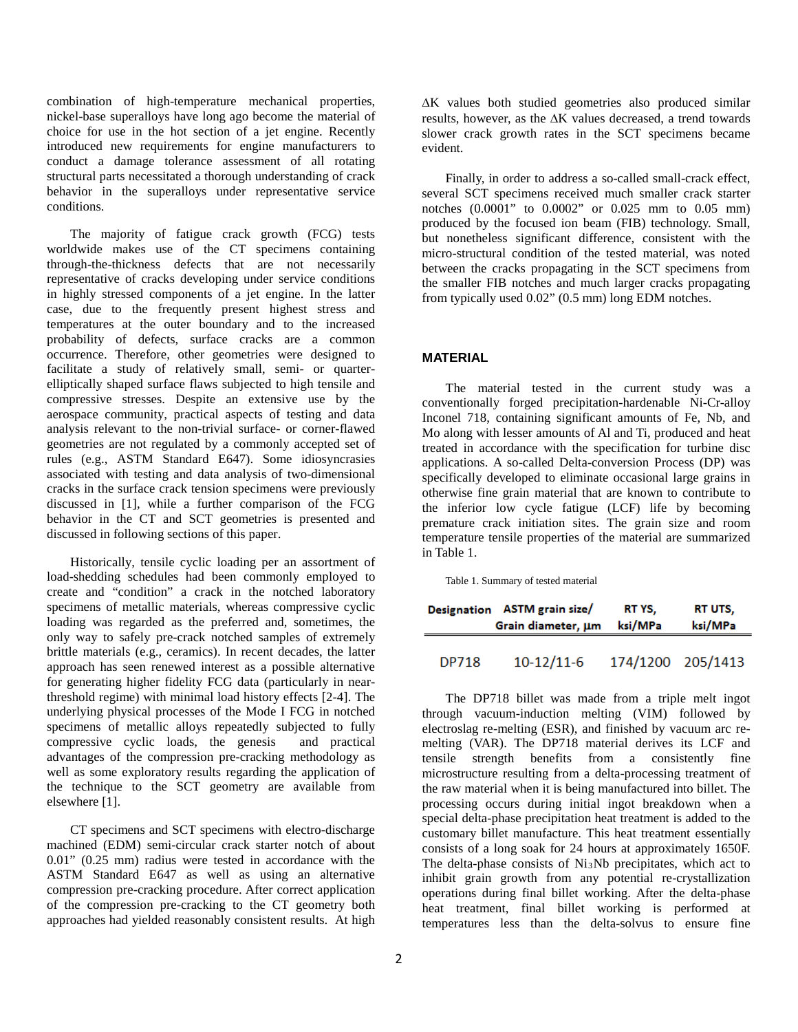combination of high-temperature mechanical properties, nickel-base superalloys have long ago become the material of choice for use in the hot section of a jet engine. Recently introduced new requirements for engine manufacturers to conduct a damage tolerance assessment of all rotating structural parts necessitated a thorough understanding of crack behavior in the superalloys under representative service conditions.

The majority of fatigue crack growth (FCG) tests worldwide makes use of the CT specimens containing through-the-thickness defects that are not necessarily representative of cracks developing under service conditions in highly stressed components of a jet engine. In the latter case, due to the frequently present highest stress and temperatures at the outer boundary and to the increased probability of defects, surface cracks are a common occurrence. Therefore, other geometries were designed to facilitate a study of relatively small, semi- or quarterelliptically shaped surface flaws subjected to high tensile and compressive stresses. Despite an extensive use by the aerospace community, practical aspects of testing and data analysis relevant to the non-trivial surface- or corner-flawed geometries are not regulated by a commonly accepted set of rules (e.g., ASTM Standard E647). Some idiosyncrasies associated with testing and data analysis of two-dimensional cracks in the surface crack tension specimens were previously discussed in [1], while a further comparison of the FCG behavior in the CT and SCT geometries is presented and discussed in following sections of this paper.

Historically, tensile cyclic loading per an assortment of load-shedding schedules had been commonly employed to create and "condition" a crack in the notched laboratory specimens of metallic materials, whereas compressive cyclic loading was regarded as the preferred and, sometimes, the only way to safely pre-crack notched samples of extremely brittle materials (e.g., ceramics). In recent decades, the latter approach has seen renewed interest as a possible alternative for generating higher fidelity FCG data (particularly in nearthreshold regime) with minimal load history effects [2-4]. The underlying physical processes of the Mode I FCG in notched specimens of metallic alloys repeatedly subjected to fully compressive cyclic loads, the genesis and practical advantages of the compression pre-cracking methodology as well as some exploratory results regarding the application of the technique to the SCT geometry are available from elsewhere [1].

CT specimens and SCT specimens with electro-discharge machined (EDM) semi-circular crack starter notch of about 0.01" (0.25 mm) radius were tested in accordance with the ASTM Standard E647 as well as using an alternative compression pre-cracking procedure. After correct application of the compression pre-cracking to the CT geometry both approaches had yielded reasonably consistent results. At high

∆K values both studied geometries also produced similar results, however, as the ∆K values decreased, a trend towards slower crack growth rates in the SCT specimens became evident.

Finally, in order to address a so-called small-crack effect, several SCT specimens received much smaller crack starter notches (0.0001" to 0.0002" or 0.025 mm to 0.05 mm) produced by the focused ion beam (FIB) technology. Small, but nonetheless significant difference, consistent with the micro-structural condition of the tested material, was noted between the cracks propagating in the SCT specimens from the smaller FIB notches and much larger cracks propagating from typically used 0.02" (0.5 mm) long EDM notches.

## **MATERIAL**

The material tested in the current study was a conventionally forged precipitation-hardenable Ni-Cr-alloy Inconel 718, containing significant amounts of Fe, Nb, and Mo along with lesser amounts of Al and Ti, produced and heat treated in accordance with the specification for turbine disc applications. A so-called Delta-conversion Process (DP) was specifically developed to eliminate occasional large grains in otherwise fine grain material that are known to contribute to the inferior low cycle fatigue (LCF) life by becoming premature crack initiation sites. The grain size and room temperature tensile properties of the material are summarized in Table 1.

Table 1. Summary of tested material

|              | Designation ASTM grain size/ | RT YS.            | RT UTS, |  |
|--------------|------------------------------|-------------------|---------|--|
|              | Grain diameter, um           | ksi/MPa           | ksi/MPa |  |
| <b>DP718</b> | $10-12/11-6$                 | 174/1200 205/1413 |         |  |

The DP718 billet was made from a triple melt ingot through vacuum-induction melting (VIM) followed by electroslag re-melting (ESR), and finished by vacuum arc remelting (VAR). The DP718 material derives its LCF and tensile strength benefits from a consistently fine microstructure resulting from a delta-processing treatment of the raw material when it is being manufactured into billet. The processing occurs during initial ingot breakdown when a special delta-phase precipitation heat treatment is added to the customary billet manufacture. This heat treatment essentially consists of a long soak for 24 hours at approximately 1650F. The delta-phase consists of Ni3Nb precipitates, which act to inhibit grain growth from any potential re-crystallization operations during final billet working. After the delta-phase heat treatment, final billet working is performed at temperatures less than the delta-solvus to ensure fine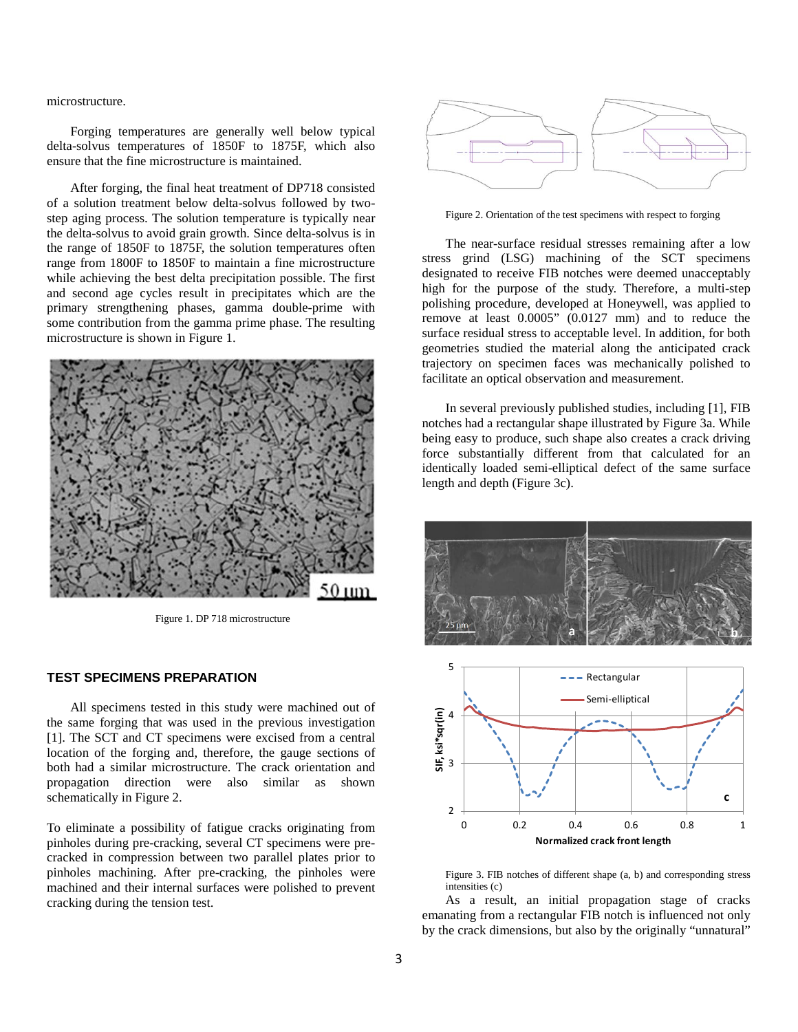microstructure.

Forging temperatures are generally well below typical delta-solvus temperatures of 1850F to 1875F, which also ensure that the fine microstructure is maintained.

After forging, the final heat treatment of DP718 consisted of a solution treatment below delta-solvus followed by twostep aging process. The solution temperature is typically near the delta-solvus to avoid grain growth. Since delta-solvus is in the range of 1850F to 1875F, the solution temperatures often range from 1800F to 1850F to maintain a fine microstructure while achieving the best delta precipitation possible. The first and second age cycles result in precipitates which are the primary strengthening phases, gamma double-prime with some contribution from the gamma prime phase. The resulting microstructure is shown in Figure 1.



Figure 1. DP 718 microstructure

#### **TEST SPECIMENS PREPARATION**

All specimens tested in this study were machined out of the same forging that was used in the previous investigation [1]. The SCT and CT specimens were excised from a central location of the forging and, therefore, the gauge sections of both had a similar microstructure. The crack orientation and propagation direction were also similar as shown schematically in Figure 2.

To eliminate a possibility of fatigue cracks originating from pinholes during pre-cracking, several CT specimens were precracked in compression between two parallel plates prior to pinholes machining. After pre-cracking, the pinholes were machined and their internal surfaces were polished to prevent cracking during the tension test.



Figure 2. Orientation of the test specimens with respect to forging

The near-surface residual stresses remaining after a low stress grind (LSG) machining of the SCT specimens designated to receive FIB notches were deemed unacceptably high for the purpose of the study. Therefore, a multi-step polishing procedure, developed at Honeywell, was applied to remove at least 0.0005" (0.0127 mm) and to reduce the surface residual stress to acceptable level. In addition, for both geometries studied the material along the anticipated crack trajectory on specimen faces was mechanically polished to facilitate an optical observation and measurement.

In several previously published studies, including [1], FIB notches had a rectangular shape illustrated by Figure 3a. While being easy to produce, such shape also creates a crack driving force substantially different from that calculated for an identically loaded semi-elliptical defect of the same surface length and depth (Figure 3c).



Figure 3. FIB notches of different shape (a, b) and corresponding stress intensities (c)

As a result, an initial propagation stage of cracks emanating from a rectangular FIB notch is influenced not only by the crack dimensions, but also by the originally "unnatural"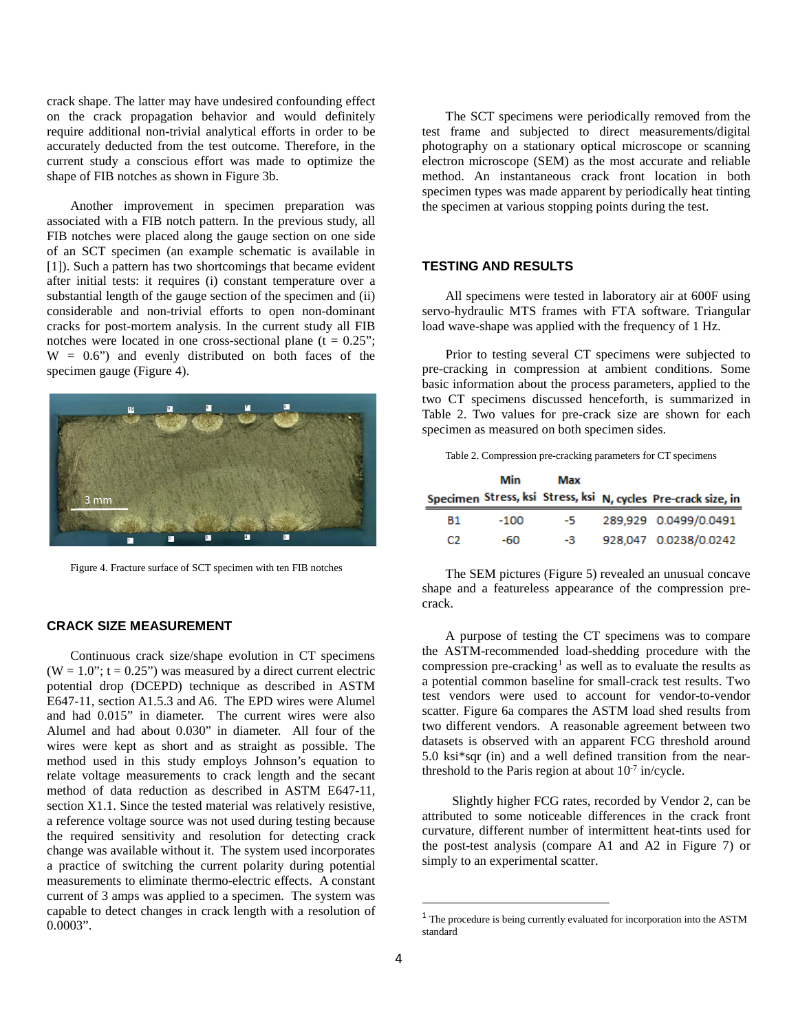crack shape. The latter may have undesired confounding effect on the crack propagation behavior and would definitely require additional non-trivial analytical efforts in order to be accurately deducted from the test outcome. Therefore, in the current study a conscious effort was made to optimize the shape of FIB notches as shown in Figure 3b.

Another improvement in specimen preparation was associated with a FIB notch pattern. In the previous study, all FIB notches were placed along the gauge section on one side of an SCT specimen (an example schematic is available in [1]). Such a pattern has two shortcomings that became evident after initial tests: it requires (i) constant temperature over a substantial length of the gauge section of the specimen and (ii) considerable and non-trivial efforts to open non-dominant cracks for post-mortem analysis. In the current study all FIB notches were located in one cross-sectional plane  $(t = 0.25$ ";  $W = 0.6$ ") and evenly distributed on both faces of the specimen gauge (Figure 4).



Figure 4. Fracture surface of SCT specimen with ten FIB notches

## **CRACK SIZE MEASUREMENT**

<span id="page-3-0"></span>Continuous crack size/shape evolution in CT specimens  $(W = 1.0$ ";  $t = 0.25$ ") was measured by a direct current electric potential drop (DCEPD) technique as described in ASTM E647-11, section A1.5.3 and A6. The EPD wires were Alumel and had 0.015" in diameter. The current wires were also Alumel and had about 0.030" in diameter. All four of the wires were kept as short and as straight as possible. The method used in this study employs Johnson's equation to relate voltage measurements to crack length and the secant method of data reduction as described in ASTM E647-11, section X1.1. Since the tested material was relatively resistive, a reference voltage source was not used during testing because the required sensitivity and resolution for detecting crack change was available without it. The system used incorporates a practice of switching the current polarity during potential measurements to eliminate thermo-electric effects. A constant current of 3 amps was applied to a specimen. The system was capable to detect changes in crack length with a resolution of 0.0003".

The SCT specimens were periodically removed from the test frame and subjected to direct measurements/digital photography on a stationary optical microscope or scanning electron microscope (SEM) as the most accurate and reliable method. An instantaneous crack front location in both specimen types was made apparent by periodically heat tinting the specimen at various stopping points during the test.

## **TESTING AND RESULTS**

All specimens were tested in laboratory air at 600F using servo-hydraulic MTS frames with FTA software. Triangular load wave-shape was applied with the frequency of 1 Hz.

Prior to testing several CT specimens were subjected to pre-cracking in compression at ambient conditions. Some basic information about the process parameters, applied to the two CT specimens discussed henceforth, is summarized in Table 2. Two values for pre-crack size are shown for each specimen as measured on both specimen sides.

Table 2. Compression pre-cracking parameters for CT specimens

|    | Min    | Max |                                                               |
|----|--------|-----|---------------------------------------------------------------|
|    |        |     | Specimen Stress, ksi Stress, ksi N, cycles Pre-crack size, in |
| B1 | $-100$ | -5. | 289,929 0.0499/0.0491                                         |
| CЭ | -60    | -3. | 928,047 0.0238/0.0242                                         |

The SEM pictures (Figure 5) revealed an unusual concave shape and a featureless appearance of the compression precrack.

A purpose of testing the CT specimens was to compare the ASTM-recommended load-shedding procedure with the compression pre-cracking<sup>[1](#page-3-0)</sup> as well as to evaluate the results as a potential common baseline for small-crack test results. Two test vendors were used to account for vendor-to-vendor scatter. Figure 6a compares the ASTM load shed results from two different vendors. A reasonable agreement between two datasets is observed with an apparent FCG threshold around 5.0 ksi\*sqr (in) and a well defined transition from the nearthreshold to the Paris region at about  $10^{-7}$  in/cycle.

 Slightly higher FCG rates, recorded by Vendor 2, can be attributed to some noticeable differences in the crack front curvature, different number of intermittent heat-tints used for the post-test analysis (compare A1 and A2 in Figure 7) or simply to an experimental scatter.

<sup>&</sup>lt;sup>1</sup> The procedure is being currently evaluated for incorporation into the ASTM standard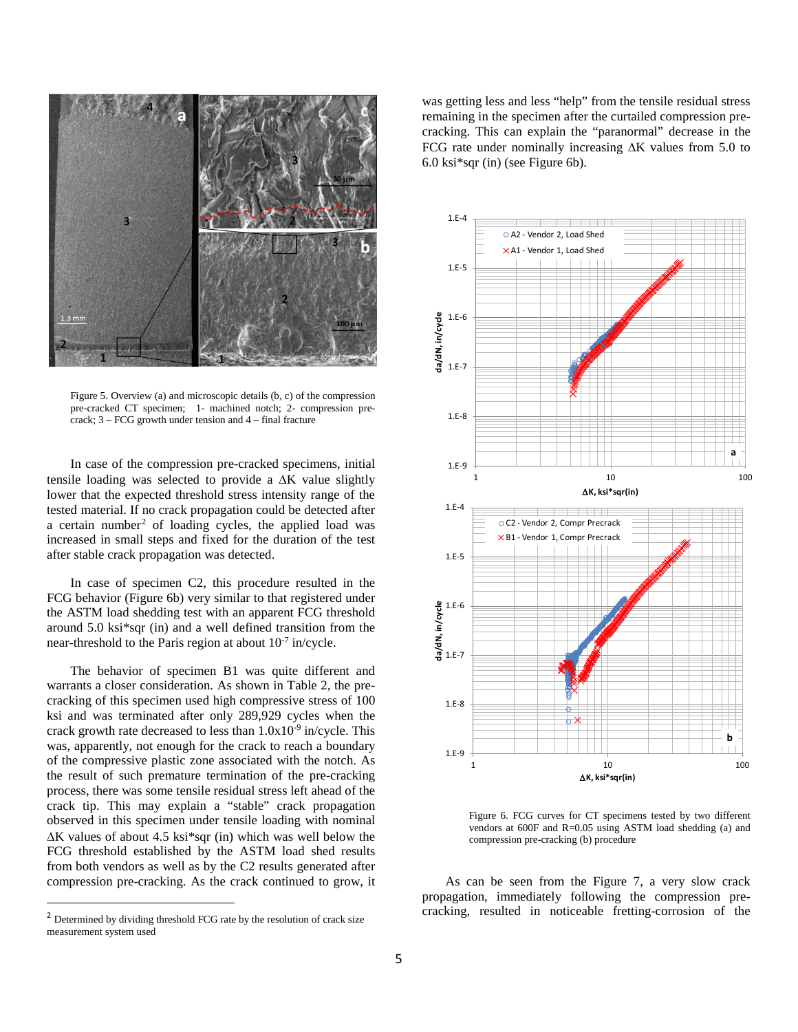

Figure 5. Overview (a) and microscopic details (b, c) of the compression pre-cracked CT specimen; 1- machined notch; 2- compression precrack; 3 – FCG growth under tension and 4 – final fracture

In case of the compression pre-cracked specimens, initial tensile loading was selected to provide a ∆K value slightly lower that the expected threshold stress intensity range of the tested material. If no crack propagation could be detected after a certain number<sup>[2](#page-4-0)</sup> of loading cycles, the applied load was increased in small steps and fixed for the duration of the test after stable crack propagation was detected.

In case of specimen C2, this procedure resulted in the FCG behavior (Figure 6b) very similar to that registered under the ASTM load shedding test with an apparent FCG threshold around 5.0 ksi\*sqr (in) and a well defined transition from the near-threshold to the Paris region at about  $10^{-7}$  in/cycle.

The behavior of specimen B1 was quite different and warrants a closer consideration. As shown in Table 2, the precracking of this specimen used high compressive stress of 100 ksi and was terminated after only 289,929 cycles when the crack growth rate decreased to less than  $1.0x10^{-9}$  in/cycle. This was, apparently, not enough for the crack to reach a boundary of the compressive plastic zone associated with the notch. As the result of such premature termination of the pre-cracking process, there was some tensile residual stress left ahead of the crack tip. This may explain a "stable" crack propagation observed in this specimen under tensile loading with nominal ∆K values of about 4.5 ksi\*sqr (in) which was well below the FCG threshold established by the ASTM load shed results from both vendors as well as by the C2 results generated after compression pre-cracking. As the crack continued to grow, it

was getting less and less "help" from the tensile residual stress remaining in the specimen after the curtailed compression precracking. This can explain the "paranormal" decrease in the FCG rate under nominally increasing ∆K values from 5.0 to 6.0 ksi\*sqr (in) (see Figure 6b).



Figure 6. FCG curves for CT specimens tested by two different vendors at 600F and R=0.05 using ASTM load shedding (a) and compression pre-cracking (b) procedure

As can be seen from the Figure 7, a very slow crack propagation, immediately following the compression precracking, resulted in noticeable fretting-corrosion of the

<span id="page-4-0"></span><sup>&</sup>lt;sup>2</sup> Determined by dividing threshold FCG rate by the resolution of crack size measurement system used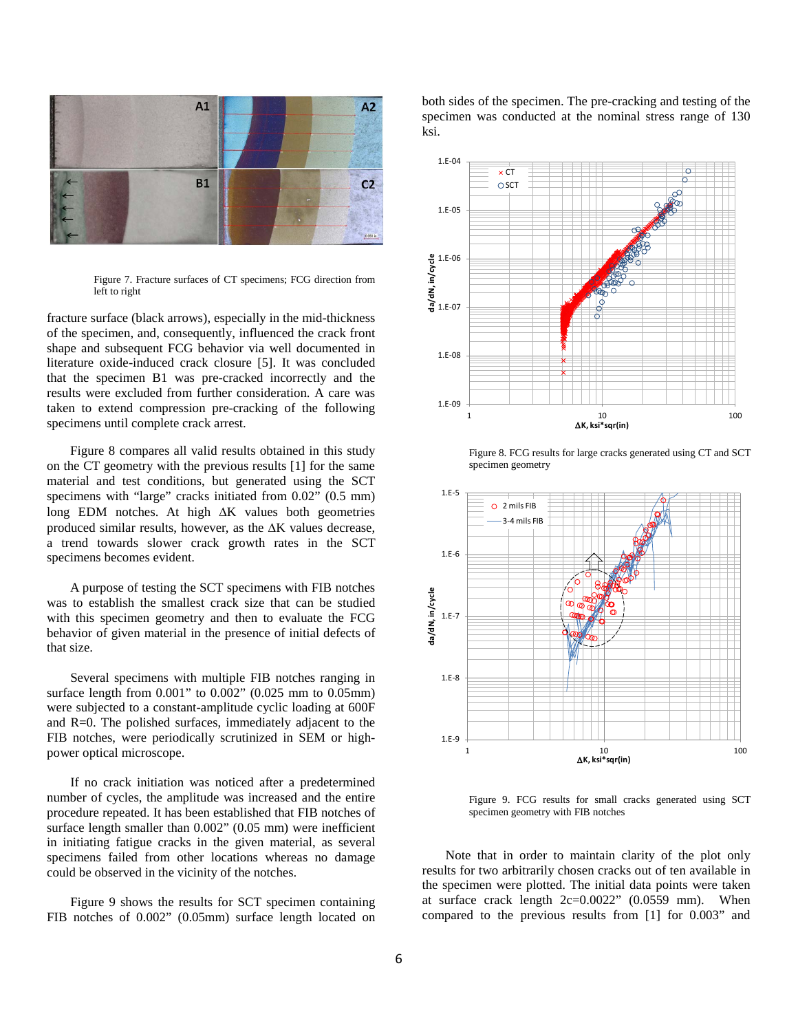

Figure 7. Fracture surfaces of CT specimens; FCG direction from left to right

fracture surface (black arrows), especially in the mid-thickness of the specimen, and, consequently, influenced the crack front shape and subsequent FCG behavior via well documented in literature oxide-induced crack closure [5]. It was concluded that the specimen B1 was pre-cracked incorrectly and the results were excluded from further consideration. A care was taken to extend compression pre-cracking of the following specimens until complete crack arrest.

Figure 8 compares all valid results obtained in this study on the CT geometry with the previous results [1] for the same material and test conditions, but generated using the SCT specimens with "large" cracks initiated from 0.02" (0.5 mm) long EDM notches. At high ∆K values both geometries produced similar results, however, as the ∆K values decrease, a trend towards slower crack growth rates in the SCT specimens becomes evident.

A purpose of testing the SCT specimens with FIB notches was to establish the smallest crack size that can be studied with this specimen geometry and then to evaluate the FCG behavior of given material in the presence of initial defects of that size.

Several specimens with multiple FIB notches ranging in surface length from 0.001" to 0.002" (0.025 mm to 0.05mm) were subjected to a constant-amplitude cyclic loading at 600F and R=0. The polished surfaces, immediately adjacent to the FIB notches, were periodically scrutinized in SEM or highpower optical microscope.

If no crack initiation was noticed after a predetermined number of cycles, the amplitude was increased and the entire procedure repeated. It has been established that FIB notches of surface length smaller than 0.002" (0.05 mm) were inefficient in initiating fatigue cracks in the given material, as several specimens failed from other locations whereas no damage could be observed in the vicinity of the notches.

Figure 9 shows the results for SCT specimen containing FIB notches of 0.002" (0.05mm) surface length located on

both sides of the specimen. The pre-cracking and testing of the specimen was conducted at the nominal stress range of 130 ksi.



Figure 8. FCG results for large cracks generated using CT and SCT specimen geometry



Figure 9. FCG results for small cracks generated using SCT specimen geometry with FIB notches

Note that in order to maintain clarity of the plot only results for two arbitrarily chosen cracks out of ten available in the specimen were plotted. The initial data points were taken at surface crack length  $2c=0.0022$ " (0.0559 mm). When compared to the previous results from [1] for 0.003" and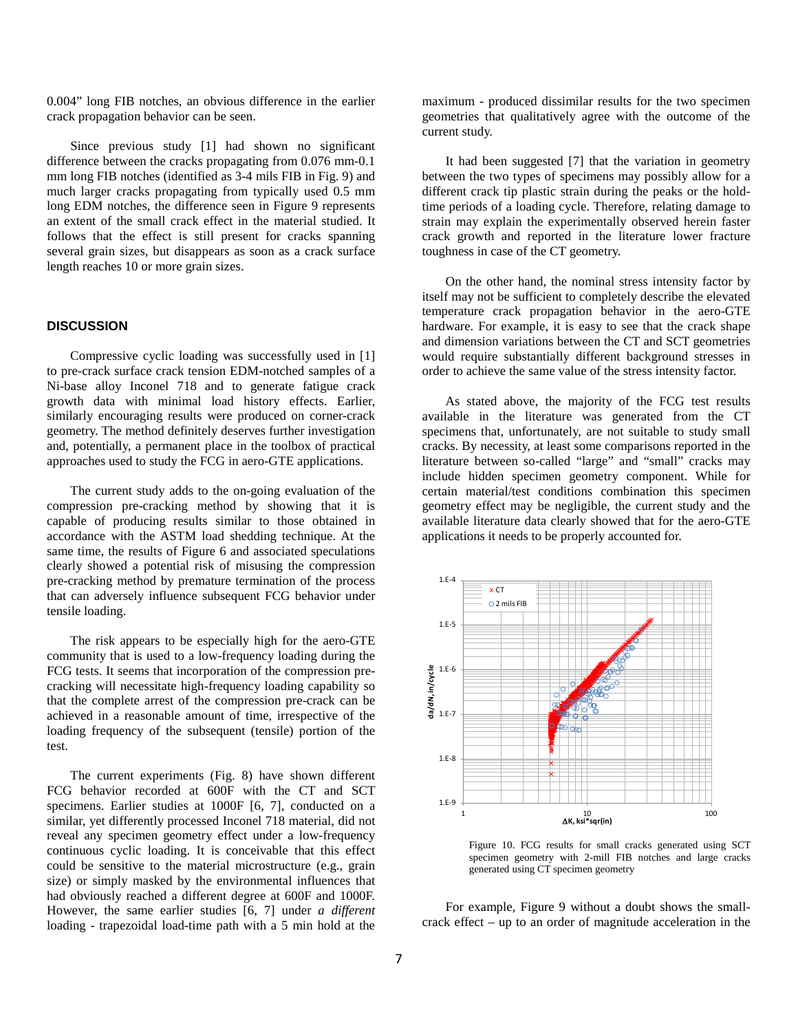0.004" long FIB notches, an obvious difference in the earlier crack propagation behavior can be seen.

Since previous study [1] had shown no significant difference between the cracks propagating from 0.076 mm-0.1 mm long FIB notches (identified as 3-4 mils FIB in Fig. 9) and much larger cracks propagating from typically used 0.5 mm long EDM notches, the difference seen in Figure 9 represents an extent of the small crack effect in the material studied. It follows that the effect is still present for cracks spanning several grain sizes, but disappears as soon as a crack surface length reaches 10 or more grain sizes.

#### **DISCUSSION**

Compressive cyclic loading was successfully used in [1] to pre-crack surface crack tension EDM-notched samples of a Ni-base alloy Inconel 718 and to generate fatigue crack growth data with minimal load history effects. Earlier, similarly encouraging results were produced on corner-crack geometry. The method definitely deserves further investigation and, potentially, a permanent place in the toolbox of practical approaches used to study the FCG in aero-GTE applications.

The current study adds to the on-going evaluation of the compression pre-cracking method by showing that it is capable of producing results similar to those obtained in accordance with the ASTM load shedding technique. At the same time, the results of Figure 6 and associated speculations clearly showed a potential risk of misusing the compression pre-cracking method by premature termination of the process that can adversely influence subsequent FCG behavior under tensile loading.

The risk appears to be especially high for the aero-GTE community that is used to a low-frequency loading during the FCG tests. It seems that incorporation of the compression precracking will necessitate high-frequency loading capability so that the complete arrest of the compression pre-crack can be achieved in a reasonable amount of time, irrespective of the loading frequency of the subsequent (tensile) portion of the test.

The current experiments (Fig. 8) have shown different FCG behavior recorded at 600F with the CT and SCT specimens. Earlier studies at 1000F [6, 7], conducted on a similar, yet differently processed Inconel 718 material, did not reveal any specimen geometry effect under a low-frequency continuous cyclic loading. It is conceivable that this effect could be sensitive to the material microstructure (e.g., grain size) or simply masked by the environmental influences that had obviously reached a different degree at 600F and 1000F. However, the same earlier studies [6, 7] under *a different* loading - trapezoidal load-time path with a 5 min hold at the

maximum - produced dissimilar results for the two specimen geometries that qualitatively agree with the outcome of the current study.

It had been suggested [7] that the variation in geometry between the two types of specimens may possibly allow for a different crack tip plastic strain during the peaks or the holdtime periods of a loading cycle. Therefore, relating damage to strain may explain the experimentally observed herein faster crack growth and reported in the literature lower fracture toughness in case of the CT geometry.

On the other hand, the nominal stress intensity factor by itself may not be sufficient to completely describe the elevated temperature crack propagation behavior in the aero-GTE hardware. For example, it is easy to see that the crack shape and dimension variations between the CT and SCT geometries would require substantially different background stresses in order to achieve the same value of the stress intensity factor.

As stated above, the majority of the FCG test results available in the literature was generated from the CT specimens that, unfortunately, are not suitable to study small cracks. By necessity, at least some comparisons reported in the literature between so-called "large" and "small" cracks may include hidden specimen geometry component. While for certain material/test conditions combination this specimen geometry effect may be negligible, the current study and the available literature data clearly showed that for the aero-GTE applications it needs to be properly accounted for.



Figure 10. FCG results for small cracks generated using SCT specimen geometry with 2-mill FIB notches and large cracks generated using CT specimen geometry

For example, Figure 9 without a doubt shows the smallcrack effect – up to an order of magnitude acceleration in the